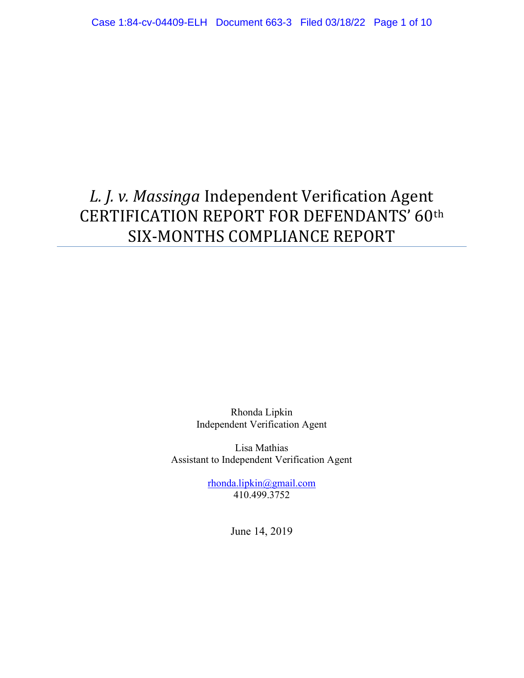# L. J. v. Massinga Independent Verification Agent CERTIFICATION REPORT FOR DEFENDANTS' 60th SIX-MONTHS COMPLIANCE REPORT

Rhonda Lipkin Independent Verification Agent

Lisa Mathias Assistant to Independent Verification Agent

> rhonda.lipkin@gmail.com 410.499.3752

> > June 14, 2019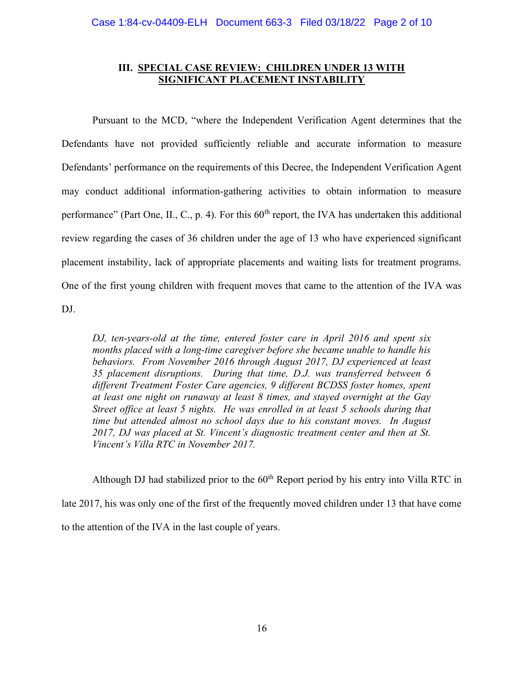# III. SPECIAL CASE REVIEW: CHILDREN UNDER 13 WITH SIGNIFICANT PLACEMENT INSTABILITY

 Pursuant to the MCD, "where the Independent Verification Agent determines that the Defendants have not provided sufficiently reliable and accurate information to measure Defendants' performance on the requirements of this Decree, the Independent Verification Agent may conduct additional information-gathering activities to obtain information to measure performance" (Part One, II., C., p. 4). For this  $60<sup>th</sup>$  report, the IVA has undertaken this additional review regarding the cases of 36 children under the age of 13 who have experienced significant placement instability, lack of appropriate placements and waiting lists for treatment programs. One of the first young children with frequent moves that came to the attention of the IVA was DJ.

DJ, ten-years-old at the time, entered foster care in April 2016 and spent six months placed with a long-time caregiver before she became unable to handle his behaviors. From November 2016 through August 2017, DJ experienced at least 35 placement disruptions. During that time, D.J. was transferred between 6 different Treatment Foster Care agencies, 9 different BCDSS foster homes, spent at least one night on runaway at least 8 times, and stayed overnight at the Gay Street office at least 5 nights. He was enrolled in at least 5 schools during that time but attended almost no school days due to his constant moves. In August 2017, DJ was placed at St. Vincent's diagnostic treatment center and then at St. Vincent's Villa RTC in November 2017.

Although DJ had stabilized prior to the  $60<sup>th</sup>$  Report period by his entry into Villa RTC in late 2017, his was only one of the first of the frequently moved children under 13 that have come to the attention of the IVA in the last couple of years.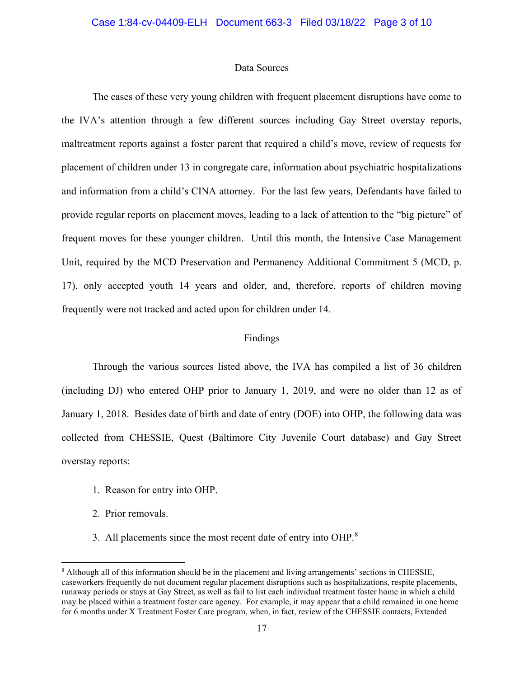## Data Sources

 The cases of these very young children with frequent placement disruptions have come to the IVA's attention through a few different sources including Gay Street overstay reports, maltreatment reports against a foster parent that required a child's move, review of requests for placement of children under 13 in congregate care, information about psychiatric hospitalizations and information from a child's CINA attorney. For the last few years, Defendants have failed to provide regular reports on placement moves, leading to a lack of attention to the "big picture" of frequent moves for these younger children. Until this month, the Intensive Case Management Unit, required by the MCD Preservation and Permanency Additional Commitment 5 (MCD, p. 17), only accepted youth 14 years and older, and, therefore, reports of children moving frequently were not tracked and acted upon for children under 14.

# Findings

 Through the various sources listed above, the IVA has compiled a list of 36 children (including DJ) who entered OHP prior to January 1, 2019, and were no older than 12 as of January 1, 2018. Besides date of birth and date of entry (DOE) into OHP, the following data was collected from CHESSIE, Quest (Baltimore City Juvenile Court database) and Gay Street overstay reports:

- 1. Reason for entry into OHP.
- 2. Prior removals.
- 3. All placements since the most recent date of entry into OHP. $8$

<sup>&</sup>lt;sup>8</sup> Although all of this information should be in the placement and living arrangements' sections in CHESSIE, caseworkers frequently do not document regular placement disruptions such as hospitalizations, respite placements, runaway periods or stays at Gay Street, as well as fail to list each individual treatment foster home in which a child may be placed within a treatment foster care agency. For example, it may appear that a child remained in one home for 6 months under X Treatment Foster Care program, when, in fact, review of the CHESSIE contacts, Extended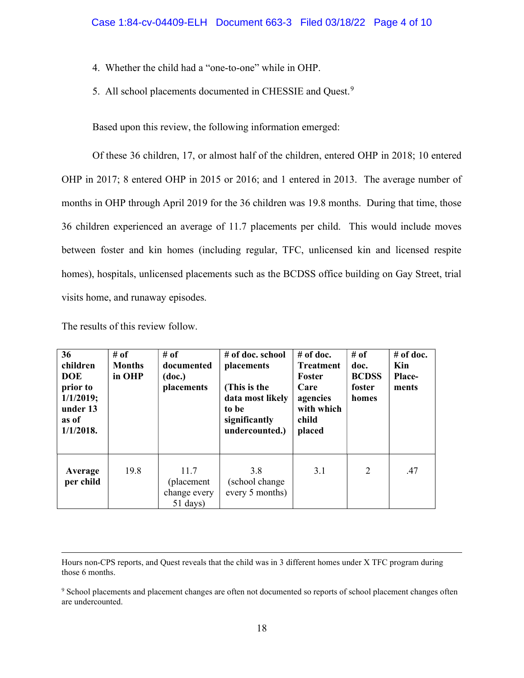- 4. Whether the child had a "one-to-one" while in OHP.
- 5. All school placements documented in CHESSIE and Quest.<sup>9</sup>

Based upon this review, the following information emerged:

 Of these 36 children, 17, or almost half of the children, entered OHP in 2018; 10 entered OHP in 2017; 8 entered OHP in 2015 or 2016; and 1 entered in 2013. The average number of months in OHP through April 2019 for the 36 children was 19.8 months. During that time, those 36 children experienced an average of 11.7 placements per child. This would include moves between foster and kin homes (including regular, TFC, unlicensed kin and licensed respite homes), hospitals, unlicensed placements such as the BCDSS office building on Gay Street, trial visits home, and runaway episodes.

| 36<br>children<br><b>DOE</b><br>prior to<br>1/1/2019;<br>under 13<br>as of<br>$1/1/2018$ . | # of<br><b>Months</b><br>in OHP | # of<br>documented<br>(doc.)<br>placements               | # of doc. school<br>placements<br>(This is the<br>data most likely<br>to be<br>significantly<br>undercounted.) | $#$ of doc.<br><b>Treatment</b><br>Foster<br>Care<br>agencies<br>with which<br>child<br>placed | # of<br>doc.<br><b>BCDSS</b><br>foster<br>homes | # of doc.<br>Kin<br>Place-<br>ments |
|--------------------------------------------------------------------------------------------|---------------------------------|----------------------------------------------------------|----------------------------------------------------------------------------------------------------------------|------------------------------------------------------------------------------------------------|-------------------------------------------------|-------------------------------------|
| Average<br>per child                                                                       | 19.8                            | 11.7<br>(placement)<br>change every<br>$51 \text{ days}$ | 3.8<br>(school change)<br>every 5 months)                                                                      | 3.1                                                                                            | 2                                               | .47                                 |

The results of this review follow.

Hours non-CPS reports, and Quest reveals that the child was in 3 different homes under X TFC program during those 6 months.

<sup>9</sup> School placements and placement changes are often not documented so reports of school placement changes often are undercounted.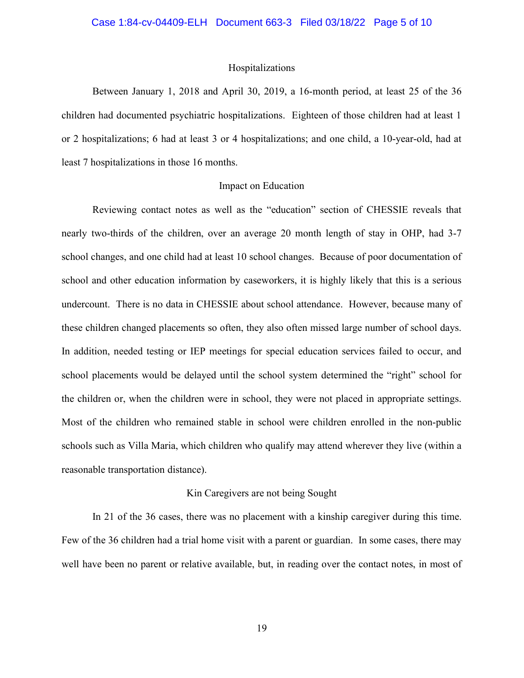## Hospitalizations

 Between January 1, 2018 and April 30, 2019, a 16-month period, at least 25 of the 36 children had documented psychiatric hospitalizations. Eighteen of those children had at least 1 or 2 hospitalizations; 6 had at least 3 or 4 hospitalizations; and one child, a 10-year-old, had at least 7 hospitalizations in those 16 months.

## Impact on Education

 Reviewing contact notes as well as the "education" section of CHESSIE reveals that nearly two-thirds of the children, over an average 20 month length of stay in OHP, had 3-7 school changes, and one child had at least 10 school changes. Because of poor documentation of school and other education information by caseworkers, it is highly likely that this is a serious undercount. There is no data in CHESSIE about school attendance. However, because many of these children changed placements so often, they also often missed large number of school days. In addition, needed testing or IEP meetings for special education services failed to occur, and school placements would be delayed until the school system determined the "right" school for the children or, when the children were in school, they were not placed in appropriate settings. Most of the children who remained stable in school were children enrolled in the non-public schools such as Villa Maria, which children who qualify may attend wherever they live (within a reasonable transportation distance).

#### Kin Caregivers are not being Sought

 In 21 of the 36 cases, there was no placement with a kinship caregiver during this time. Few of the 36 children had a trial home visit with a parent or guardian. In some cases, there may well have been no parent or relative available, but, in reading over the contact notes, in most of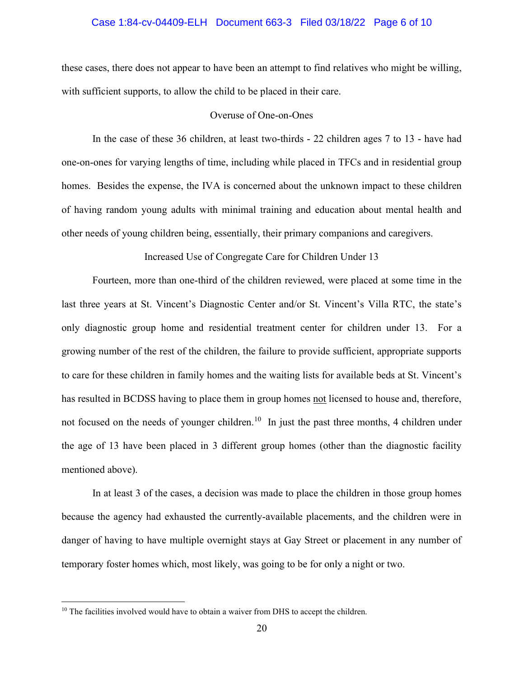## Case 1:84-cv-04409-ELH Document 663-3 Filed 03/18/22 Page 6 of 10

these cases, there does not appear to have been an attempt to find relatives who might be willing, with sufficient supports, to allow the child to be placed in their care.

## Overuse of One-on-Ones

 In the case of these 36 children, at least two-thirds - 22 children ages 7 to 13 - have had one-on-ones for varying lengths of time, including while placed in TFCs and in residential group homes. Besides the expense, the IVA is concerned about the unknown impact to these children of having random young adults with minimal training and education about mental health and other needs of young children being, essentially, their primary companions and caregivers.

Increased Use of Congregate Care for Children Under 13

 Fourteen, more than one-third of the children reviewed, were placed at some time in the last three years at St. Vincent's Diagnostic Center and/or St. Vincent's Villa RTC, the state's only diagnostic group home and residential treatment center for children under 13. For a growing number of the rest of the children, the failure to provide sufficient, appropriate supports to care for these children in family homes and the waiting lists for available beds at St. Vincent's has resulted in BCDSS having to place them in group homes not licensed to house and, therefore, not focused on the needs of younger children.<sup>10</sup> In just the past three months, 4 children under the age of 13 have been placed in 3 different group homes (other than the diagnostic facility mentioned above).

 In at least 3 of the cases, a decision was made to place the children in those group homes because the agency had exhausted the currently-available placements, and the children were in danger of having to have multiple overnight stays at Gay Street or placement in any number of temporary foster homes which, most likely, was going to be for only a night or two.

<sup>&</sup>lt;sup>10</sup> The facilities involved would have to obtain a waiver from DHS to accept the children.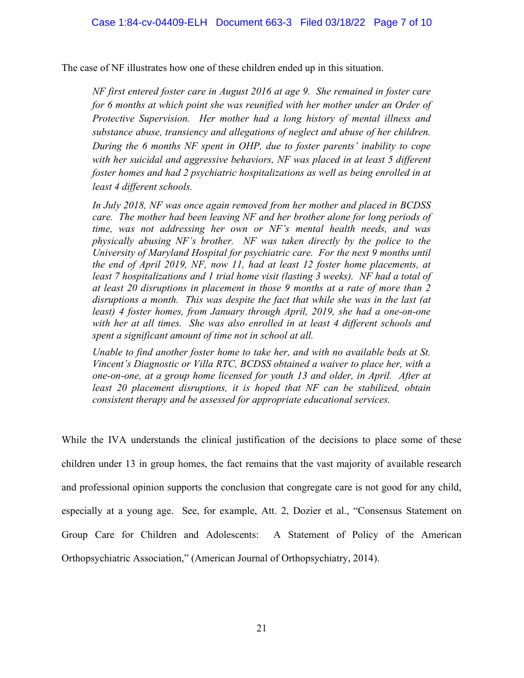The case of NF illustrates how one of these children ended up in this situation.

NF first entered foster care in August 2016 at age 9. She remained in foster care for 6 months at which point she was reunified with her mother under an Order of Protective Supervision. Her mother had a long history of mental illness and substance abuse, transiency and allegations of neglect and abuse of her children. During the 6 months NF spent in OHP, due to foster parents' inability to cope with her suicidal and aggressive behaviors, NF was placed in at least 5 different foster homes and had 2 psychiatric hospitalizations as well as being enrolled in at least 4 different schools.

In July 2018, NF was once again removed from her mother and placed in BCDSS care. The mother had been leaving NF and her brother alone for long periods of time, was not addressing her own or NF's mental health needs, and was physically abusing NF's brother. NF was taken directly by the police to the University of Maryland Hospital for psychiatric care. For the next 9 months until the end of April 2019, NF, now 11, had at least 12 foster home placements, at least 7 hospitalizations and 1 trial home visit (lasting 3 weeks). NF had a total of at least 20 disruptions in placement in those 9 months at a rate of more than 2 disruptions a month. This was despite the fact that while she was in the last (at least) 4 foster homes, from January through April, 2019, she had a one-on-one with her at all times. She was also enrolled in at least 4 different schools and spent a significant amount of time not in school at all.

Unable to find another foster home to take her, and with no available beds at St. Vincent's Diagnostic or Villa RTC, BCDSS obtained a waiver to place her, with a one-on-one, at a group home licensed for youth 13 and older, in April. After at least 20 placement disruptions, it is hoped that NF can be stabilized, obtain consistent therapy and be assessed for appropriate educational services.

While the IVA understands the clinical justification of the decisions to place some of these children under 13 in group homes, the fact remains that the vast majority of available research and professional opinion supports the conclusion that congregate care is not good for any child, especially at a young age. See, for example, Att. 2, Dozier et al., "Consensus Statement on Group Care for Children and Adolescents: A Statement of Policy of the American Orthopsychiatric Association," (American Journal of Orthopsychiatry, 2014).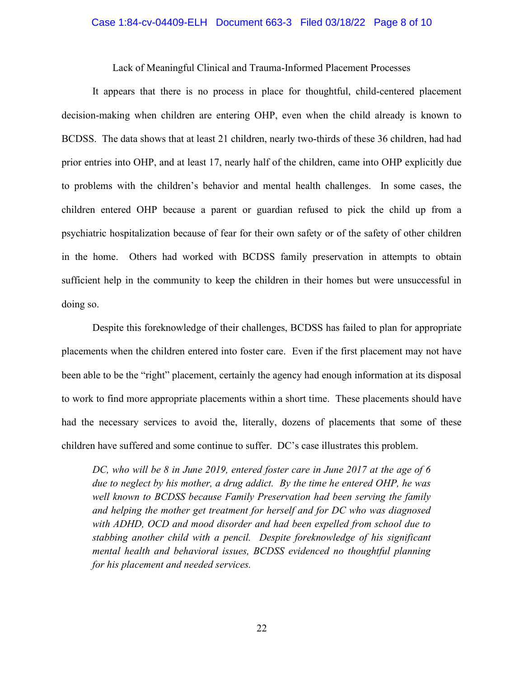## Case 1:84-cv-04409-ELH Document 663-3 Filed 03/18/22 Page 8 of 10

Lack of Meaningful Clinical and Trauma-Informed Placement Processes

 It appears that there is no process in place for thoughtful, child-centered placement decision-making when children are entering OHP, even when the child already is known to BCDSS. The data shows that at least 21 children, nearly two-thirds of these 36 children, had had prior entries into OHP, and at least 17, nearly half of the children, came into OHP explicitly due to problems with the children's behavior and mental health challenges. In some cases, the children entered OHP because a parent or guardian refused to pick the child up from a psychiatric hospitalization because of fear for their own safety or of the safety of other children in the home. Others had worked with BCDSS family preservation in attempts to obtain sufficient help in the community to keep the children in their homes but were unsuccessful in doing so.

 Despite this foreknowledge of their challenges, BCDSS has failed to plan for appropriate placements when the children entered into foster care. Even if the first placement may not have been able to be the "right" placement, certainly the agency had enough information at its disposal to work to find more appropriate placements within a short time. These placements should have had the necessary services to avoid the, literally, dozens of placements that some of these children have suffered and some continue to suffer. DC's case illustrates this problem.

DC, who will be 8 in June 2019, entered foster care in June 2017 at the age of 6 due to neglect by his mother, a drug addict. By the time he entered OHP, he was well known to BCDSS because Family Preservation had been serving the family and helping the mother get treatment for herself and for DC who was diagnosed with ADHD, OCD and mood disorder and had been expelled from school due to stabbing another child with a pencil. Despite foreknowledge of his significant mental health and behavioral issues, BCDSS evidenced no thoughtful planning for his placement and needed services.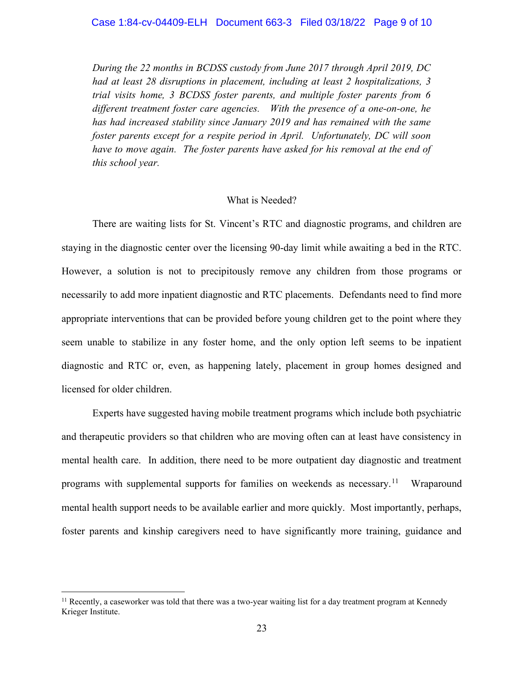During the 22 months in BCDSS custody from June 2017 through April 2019, DC had at least 28 disruptions in placement, including at least 2 hospitalizations, 3 trial visits home, 3 BCDSS foster parents, and multiple foster parents from 6 different treatment foster care agencies. With the presence of a one-on-one, he has had increased stability since January 2019 and has remained with the same foster parents except for a respite period in April. Unfortunately, DC will soon have to move again. The foster parents have asked for his removal at the end of this school year.

#### What is Needed?

 There are waiting lists for St. Vincent's RTC and diagnostic programs, and children are staying in the diagnostic center over the licensing 90-day limit while awaiting a bed in the RTC. However, a solution is not to precipitously remove any children from those programs or necessarily to add more inpatient diagnostic and RTC placements. Defendants need to find more appropriate interventions that can be provided before young children get to the point where they seem unable to stabilize in any foster home, and the only option left seems to be inpatient diagnostic and RTC or, even, as happening lately, placement in group homes designed and licensed for older children.

 Experts have suggested having mobile treatment programs which include both psychiatric and therapeutic providers so that children who are moving often can at least have consistency in mental health care. In addition, there need to be more outpatient day diagnostic and treatment programs with supplemental supports for families on weekends as necessary.<sup>11</sup> Wraparound mental health support needs to be available earlier and more quickly. Most importantly, perhaps, foster parents and kinship caregivers need to have significantly more training, guidance and

 $11$  Recently, a caseworker was told that there was a two-year waiting list for a day treatment program at Kennedy Krieger Institute.